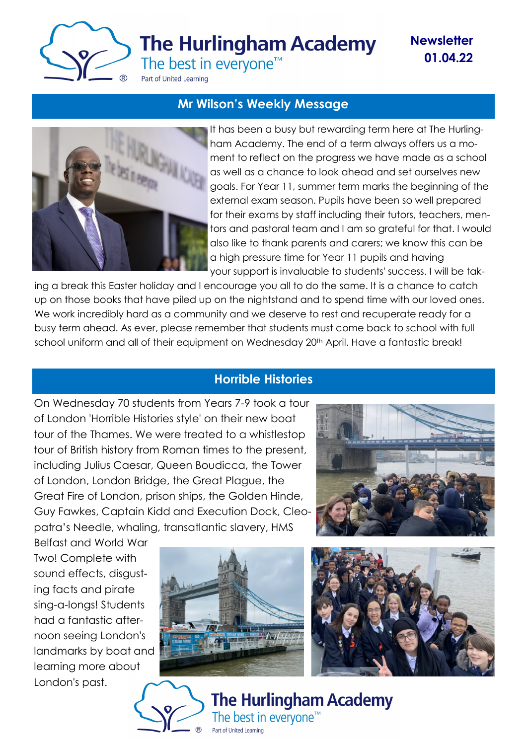

# **The Hurlingham Academy**

**Newsletter 01.04.22**

The best in everyone<sup>™</sup>

Part of United Learning

### **Mr Wilson's Weekly Message**



It has been a busy but rewarding term here at The Hurlingham Academy. The end of a term always offers us a moment to reflect on the progress we have made as a school as well as a chance to look ahead and set ourselves new goals. For Year 11, summer term marks the beginning of the external exam season. Pupils have been so well prepared for their exams by staff including their tutors, teachers, mentors and pastoral team and I am so grateful for that. I would also like to thank parents and carers; we know this can be a high pressure time for Year 11 pupils and having your support is invaluable to students' success. I will be tak-

ing a break this Easter holiday and I encourage you all to do the same. It is a chance to catch up on those books that have piled up on the nightstand and to spend time with our loved ones. We work incredibly hard as a community and we deserve to rest and recuperate ready for a busy term ahead. As ever, please remember that students must come back to school with full school uniform and all of their equipment on Wednesday 20<sup>th</sup> April. Have a fantastic break!

## **Horrible Histories**

On Wednesday 70 students from Years 7-9 took a tour of London 'Horrible Histories style' on their new boat tour of the Thames. We were treated to a whistlestop tour of British history from Roman times to the present, including Julius Caesar, Queen Boudicca, the Tower of London, London Bridge, the Great Plague, the Great Fire of London, prison ships, the Golden Hinde, Guy Fawkes, Captain Kidd and Execution Dock, Cleopatra's Needle, whaling, transatlantic slavery, HMS



Belfast and World War Two! Complete with sound effects, disgusting facts and pirate sing-a-longs! Students had a fantastic afternoon seeing London's landmarks by boat and learning more about London's past.





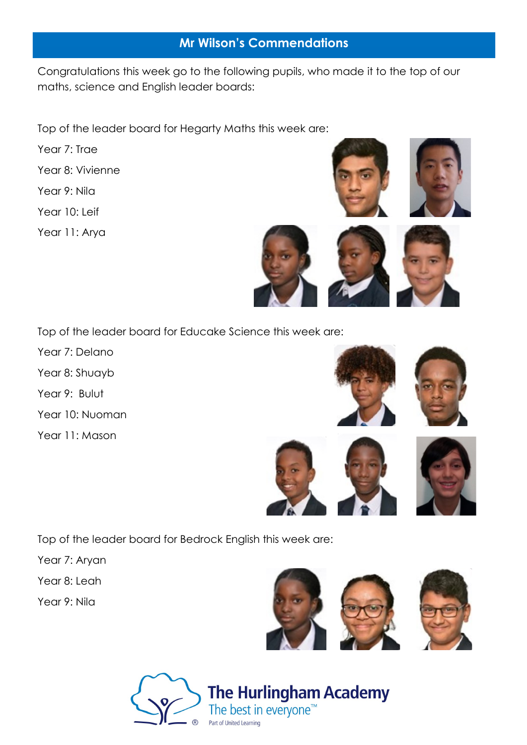#### **Mr Wilson's Commendations**

Congratulations this week go to the following pupils, who made it to the top of our maths, science and English leader boards:

Top of the leader board for Hegarty Maths this week are:

- Year 7: Trae
- Year 8: Vivienne
- Year 9: Nila
- Year 10: Leif
- Year 11: Arya







Top of the leader board for Educake Science this week are:

- Year 7: Delano
- Year 8: Shuayb
- Year 9: Bulut
- Year 10: Nuoman
- Year 11: Mason











Top of the leader board for Bedrock English this week are:

- Year 7: Aryan
- Year 8: Leah
- Year 9: Nila





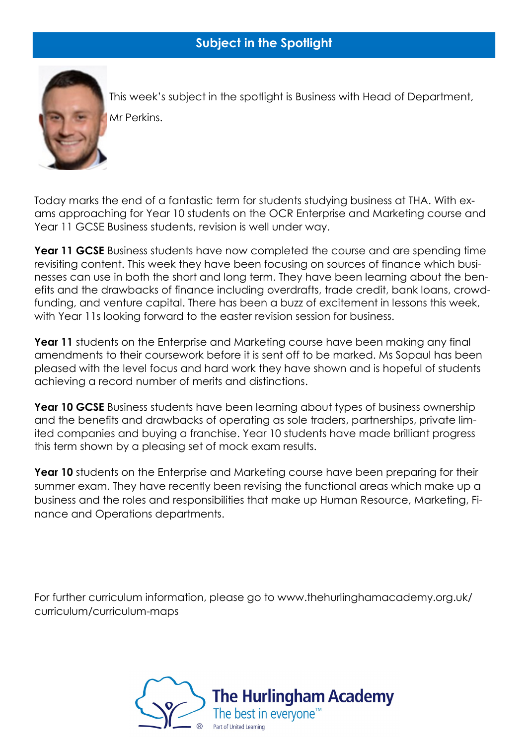

This week's subject in the spotlight is Business with Head of Department, Mr Perkins.

Today marks the end of a fantastic term for students studying business at THA. With exams approaching for Year 10 students on the OCR Enterprise and Marketing course and Year 11 GCSE Business students, revision is well under way.

**Year 11 GCSE** Business students have now completed the course and are spending time revisiting content. This week they have been focusing on sources of finance which businesses can use in both the short and long term. They have been learning about the benefits and the drawbacks of finance including overdrafts, trade credit, bank loans, crowdfunding, and venture capital. There has been a buzz of excitement in lessons this week, with Year 11s looking forward to the easter revision session for business.

**Year 11** students on the Enterprise and Marketing course have been making any final amendments to their coursework before it is sent off to be marked. Ms Sopaul has been pleased with the level focus and hard work they have shown and is hopeful of students achieving a record number of merits and distinctions.

**Year 10 GCSE** Business students have been learning about types of business ownership and the benefits and drawbacks of operating as sole traders, partnerships, private limited companies and buying a franchise. Year 10 students have made brilliant progress this term shown by a pleasing set of mock exam results.

Year 10 students on the Enterprise and Marketing course have been preparing for their summer exam. They have recently been revising the functional areas which make up a business and the roles and responsibilities that make up Human Resource, Marketing, Finance and Operations departments.

For further curriculum information, please go to www.thehurlinghamacademy.org.uk/ curriculum/curriculum-maps